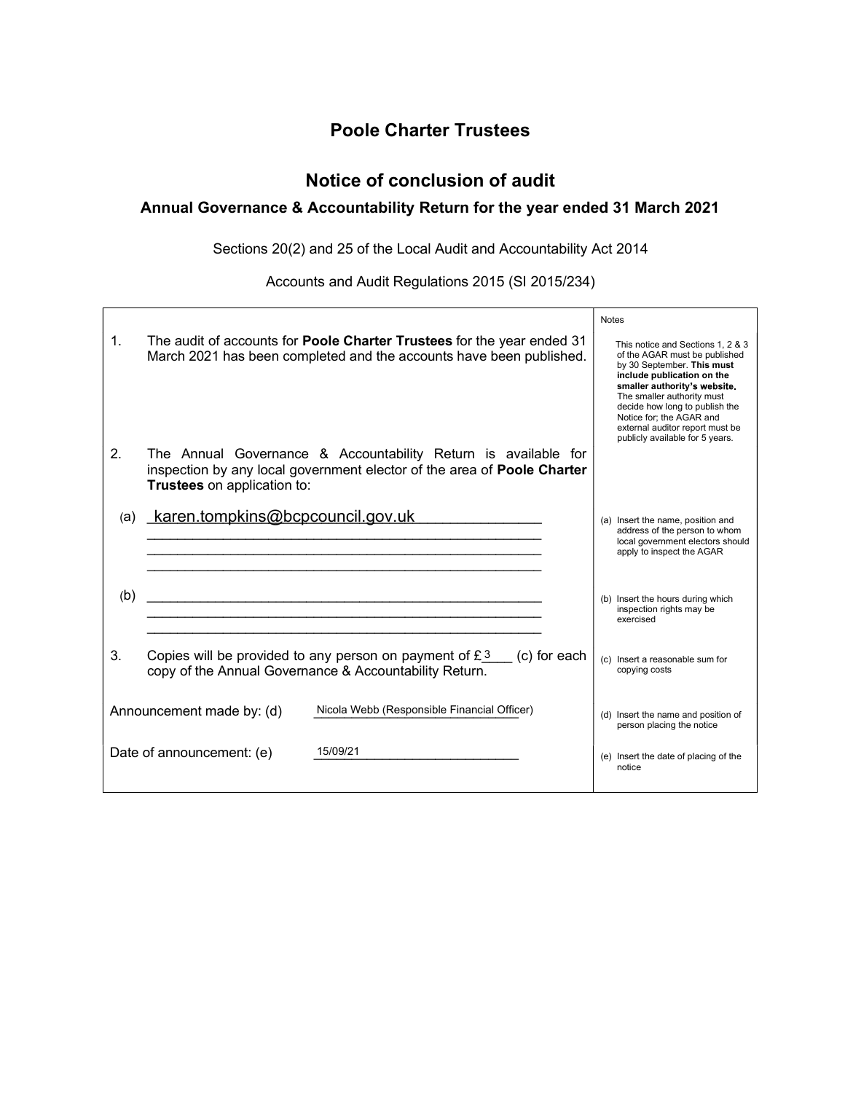# Poole Charter Trustees

# Notice of conclusion of audit

## Annual Governance & Accountability Return for the year ended 31 March 2021

Sections 20(2) and 25 of the Local Audit and Accountability Act 2014

Accounts and Audit Regulations 2015 (SI 2015/234)

|     |                                  |                                                                                                                                               |              | <b>Notes</b> |                                                                                                                                                                                                                                                                                                                                  |  |
|-----|----------------------------------|-----------------------------------------------------------------------------------------------------------------------------------------------|--------------|--------------|----------------------------------------------------------------------------------------------------------------------------------------------------------------------------------------------------------------------------------------------------------------------------------------------------------------------------------|--|
| 1.  |                                  | The audit of accounts for Poole Charter Trustees for the year ended 31<br>March 2021 has been completed and the accounts have been published. |              |              | This notice and Sections 1, 2 & 3<br>of the AGAR must be published<br>by 30 September. This must<br>include publication on the<br>smaller authority's website.<br>The smaller authority must<br>decide how long to publish the<br>Notice for; the AGAR and<br>external auditor report must be<br>publicly available for 5 years. |  |
| 2.  | Trustees on application to:      | The Annual Governance & Accountability Return is available for<br>inspection by any local government elector of the area of Poole Charter     |              |              |                                                                                                                                                                                                                                                                                                                                  |  |
| (a) | karen.tompkins@bcpcouncil.gov.uk |                                                                                                                                               |              |              | (a) Insert the name, position and<br>address of the person to whom<br>local government electors should<br>apply to inspect the AGAR                                                                                                                                                                                              |  |
| (b) |                                  |                                                                                                                                               |              |              | (b) Insert the hours during which<br>inspection rights may be<br>exercised                                                                                                                                                                                                                                                       |  |
| 3.  |                                  | Copies will be provided to any person on payment of $£ 3$<br>copy of the Annual Governance & Accountability Return.                           | (c) for each |              | (c) Insert a reasonable sum for<br>copying costs                                                                                                                                                                                                                                                                                 |  |
|     | Announcement made by: (d)        | Nicola Webb (Responsible Financial Officer)                                                                                                   |              |              | (d) Insert the name and position of<br>person placing the notice                                                                                                                                                                                                                                                                 |  |
|     | Date of announcement: (e)        | 15/09/21                                                                                                                                      |              |              | (e) Insert the date of placing of the<br>notice                                                                                                                                                                                                                                                                                  |  |
|     |                                  |                                                                                                                                               |              |              |                                                                                                                                                                                                                                                                                                                                  |  |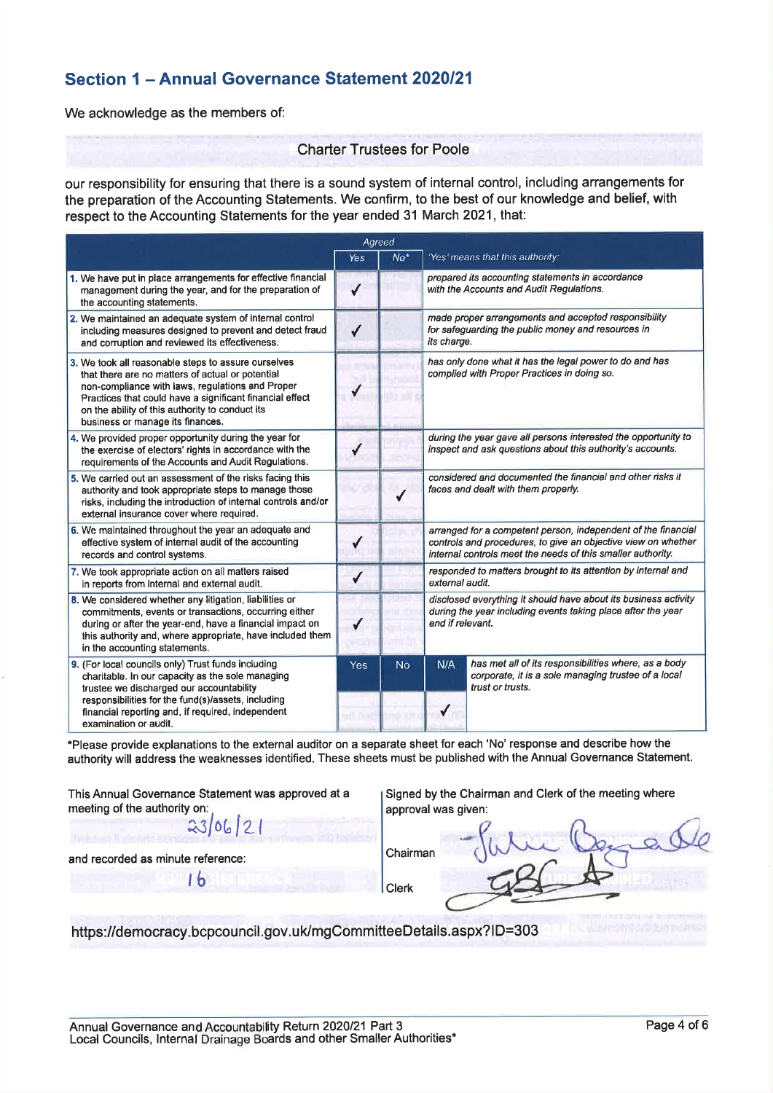## Section 1 - Annual Governance Statement 2020/21

We acknowledge as the members of:

#### **Charter Trustees for Poole**

our responsibility for ensuring that there is a sound system of internal control, including arrangements for the preparation of the Accounting Statements. We confirm, to the best of our knowledge and belief, with respect to the Accounting Statements for the year ended 31 March 2021, that:

|                                                                                                                                                                                                                                                                                                                | Agreed       |                 |                                                                                                                                                                                               |                                                                                                                                 |  |  |
|----------------------------------------------------------------------------------------------------------------------------------------------------------------------------------------------------------------------------------------------------------------------------------------------------------------|--------------|-----------------|-----------------------------------------------------------------------------------------------------------------------------------------------------------------------------------------------|---------------------------------------------------------------------------------------------------------------------------------|--|--|
|                                                                                                                                                                                                                                                                                                                | Yes          | No <sup>*</sup> |                                                                                                                                                                                               | 'Yes' means that this authority:                                                                                                |  |  |
| 1. We have put in place arrangements for effective financial<br>management during the year, and for the preparation of<br>the accounting statements.                                                                                                                                                           | $\checkmark$ |                 | prepared its accounting statements in accordance<br>with the Accounts and Audit Regulations.                                                                                                  |                                                                                                                                 |  |  |
| 2. We maintained an adequate system of internal control<br>including measures designed to prevent and detect fraud<br>and corruption and reviewed its effectiveness.                                                                                                                                           | $\checkmark$ |                 | made proper arrangements and accepted responsibility<br>for safeguarding the public money and resources in<br>its charge.                                                                     |                                                                                                                                 |  |  |
| 3. We took all reasonable steps to assure ourselves<br>that there are no matters of actual or potential<br>non-compliance with laws, regulations and Proper<br>Practices that could have a significant financial effect<br>on the ability of this authority to conduct its<br>business or manage its finances. |              |                 | has only done what it has the legal power to do and has<br>complied with Proper Practices in doing so.                                                                                        |                                                                                                                                 |  |  |
| 4. We provided proper opportunity during the year for<br>the exercise of electors' rights in accordance with the<br>requirements of the Accounts and Audit Regulations.                                                                                                                                        |              |                 |                                                                                                                                                                                               | during the year gave all persons interested the opportunity to<br>inspect and ask questions about this authority's accounts.    |  |  |
| 5. We carried out an assessment of the risks facing this<br>authority and took appropriate steps to manage those<br>risks, including the introduction of internal controls and/or<br>external insurance cover where required.                                                                                  |              |                 | considered and documented the financial and other risks it<br>faces and dealt with them properly.                                                                                             |                                                                                                                                 |  |  |
| 6. We maintained throughout the year an adequate and<br>effective system of internal audit of the accounting<br>records and control systems.                                                                                                                                                                   |              |                 | arranged for a competent person, independent of the financial<br>controls and procedures, to give an objective view on whether<br>internal controls meet the needs of this smaller authority. |                                                                                                                                 |  |  |
| 7. We took appropriate action on all matters raised<br>in reports from internal and external audit.                                                                                                                                                                                                            | $\checkmark$ |                 | responded to matters brought to its attention by internal and<br>external audit.                                                                                                              |                                                                                                                                 |  |  |
| 8. We considered whether any litigation, liabilities or<br>commitments, events or transactions, occurring either<br>during or after the year-end, have a financial impact on<br>this authority and, where appropriate, have included them<br>in the accounting statements.                                     | ✔            |                 | disclosed everything it should have about its business activity<br>during the year including events taking place after the year<br>end if relevant.                                           |                                                                                                                                 |  |  |
| 9. (For local councils only) Trust funds including<br>charitable. In our capacity as the sole managing<br>trustee we discharged our accountability<br>responsibilities for the fund(s)/assets, including                                                                                                       | Yes          | <b>No</b>       | N/A                                                                                                                                                                                           | has met all of its responsibilities where, as a body<br>corporate, it is a sole managing trustee of a local<br>trust or trusts. |  |  |
| financial reporting and, if required, independent<br>examination or audit.                                                                                                                                                                                                                                     | nill 6 s     |                 | ✔                                                                                                                                                                                             |                                                                                                                                 |  |  |

\*Please provide explanations to the external auditor on a separate sheet for each 'No' response and describe how the authority will address the weaknesses identified. These sheets must be published with the Annual Governance Statement.

This Annual Governance Statement was approved at a meeting of the authority on:

 $23/06$ 

 $16$ 

Signed by the Chairman and Clerk of the meeting where approval was given:

and recorded as minute reference:

Chairman **Clerk** 

https://democracy.bcpcouncil.gov.uk/mgCommitteeDetails.aspx?ID=303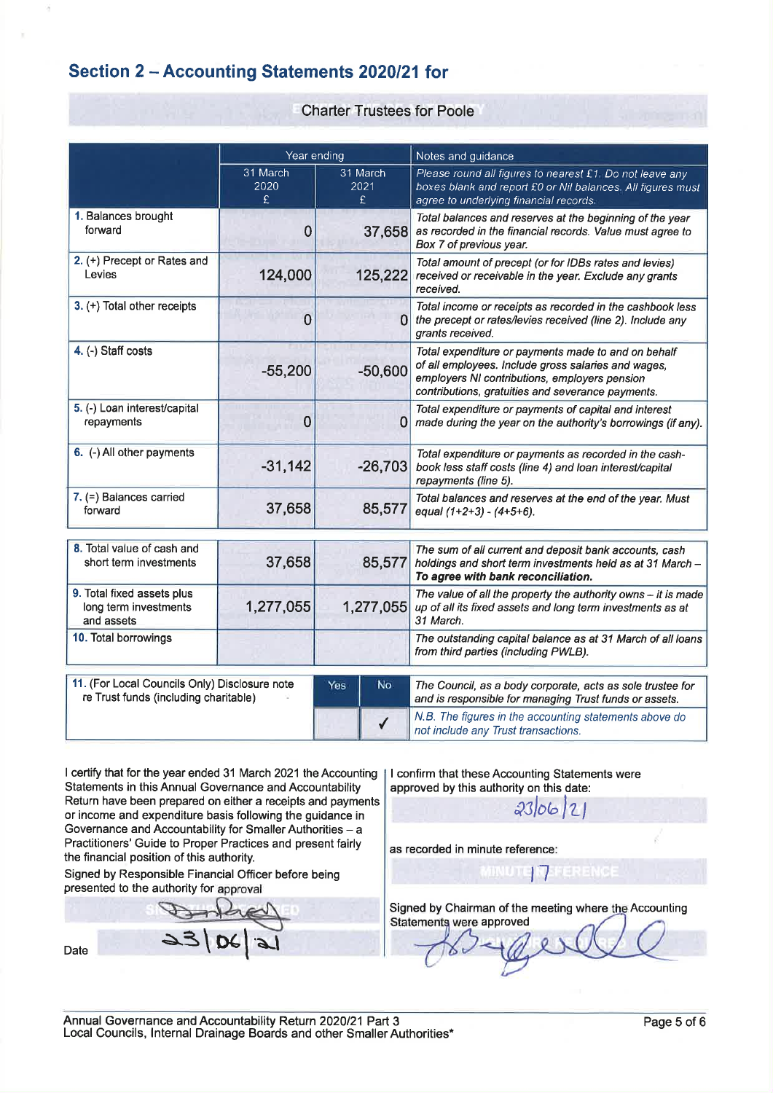# Section 2 - Accounting Statements 2020/21 for

#### **Charter Trustees for Poole**

|                                                                   | Year ending           |           |                                                                                                                               | Notes and guidance                                                                                                                                                                                               |  |  |  |
|-------------------------------------------------------------------|-----------------------|-----------|-------------------------------------------------------------------------------------------------------------------------------|------------------------------------------------------------------------------------------------------------------------------------------------------------------------------------------------------------------|--|--|--|
|                                                                   | 31 March<br>2020<br>£ |           | 31 March<br>2021<br>£                                                                                                         | Please round all figures to nearest £1 Do not leave any<br>boxes blank and report £0 or Nil balances. All figures must<br>agree to underlying financial records.                                                 |  |  |  |
| 1. Balances brought<br>forward                                    | 0                     | 37,658    |                                                                                                                               | Total balances and reserves at the beginning of the year<br>as recorded in the financial records. Value must agree to<br>Box 7 of previous year.                                                                 |  |  |  |
| 2. (+) Precept or Rates and<br>124,000<br>Levies                  |                       | 125,222   | Total amount of precept (or for IDBs rates and levies)<br>received or receivable in the year. Exclude any grants<br>received. |                                                                                                                                                                                                                  |  |  |  |
| 3. (+) Total other receipts                                       | $\Omega$              | n         |                                                                                                                               | Total income or receipts as recorded in the cashbook less<br>the precept or rates/levies received (line 2). Include any<br>grants received.                                                                      |  |  |  |
| 4. (-) Staff costs                                                | $-55,200$             | $-50,600$ |                                                                                                                               | Total expenditure or payments made to and on behalf<br>of all employees. Include gross salaries and wages,<br>employers NI contributions, employers pension<br>contributions, gratuities and severance payments. |  |  |  |
| 5. (-) Loan interest/capital<br>repayments                        | 0                     | 0         |                                                                                                                               | Total expenditure or payments of capital and interest<br>made during the year on the authority's borrowings (if any).                                                                                            |  |  |  |
| 6. (-) All other payments                                         | $-31,142$             | $-26,703$ |                                                                                                                               | Total expenditure or payments as recorded in the cash-<br>book less staff costs (line 4) and loan interest/capital<br>repayments (line 5).                                                                       |  |  |  |
| 7. (=) Balances carried<br>forward                                | 37,658                | 85,577    |                                                                                                                               | Total balances and reserves at the end of the year. Must<br>equal $(1+2+3) - (4+5+6)$ .                                                                                                                          |  |  |  |
| 8. Total value of cash and                                        |                       |           |                                                                                                                               |                                                                                                                                                                                                                  |  |  |  |
| short term investments                                            | 37,658                | 85,577    |                                                                                                                               | The sum of all current and deposit bank accounts, cash<br>holdings and short term investments held as at 31 March -<br>To agree with bank reconciliation.                                                        |  |  |  |
| 9. Total fixed assets plus<br>long term investments<br>and assets | 1,277,055             | 1,277,055 |                                                                                                                               | The value of all the property the authority owns $-$ it is made<br>up of all its fixed assets and long term investments as at<br>31 March.                                                                       |  |  |  |
| 10. Total borrowings                                              |                       |           |                                                                                                                               | The outstanding capital balance as at 31 March of all loans<br>from third parties (including PWLB).                                                                                                              |  |  |  |
| 11. (For Local Councils Only) Disclosure note                     |                       |           | No.                                                                                                                           |                                                                                                                                                                                                                  |  |  |  |
| re Trust funds (including charitable)                             |                       | Yes       |                                                                                                                               | The Council, as a body corporate, acts as sole trustee for<br>and is responsible for managing Trust funds or assets.                                                                                             |  |  |  |
|                                                                   |                       |           |                                                                                                                               | N.B. The figures in the accounting statements above do<br>not include any Trust transactions.                                                                                                                    |  |  |  |

I certify that for the year ended 31 March 2021 the Accounting Statements in this Annual Governance and Accountability Return have been prepared on either a receipts and payments or income and expenditure basis following the guidance in Governance and Accountability for Smaller Authorities - a Practitioners' Guide to Proper Practices and present fairly the financial position of this authority.

Signed by Responsible Financial Officer before being presented to the authority for approval

Date

I confirm that these Accounting Statements were approved by this authority on this date:

 $2306121$ 

as recorded in minute reference:

Signed by Chairman of the meeting where the Accounting Statements were approved

MINUTE ITERERENCE